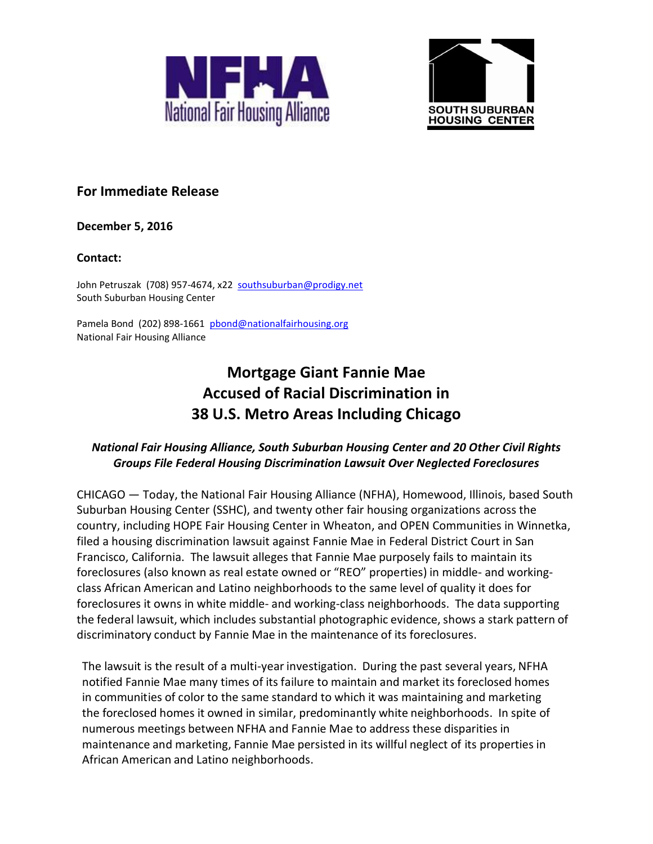



# **For Immediate Release**

**December 5, 2016**

#### **Contact:**

John Petruszak (708) 957-4674, x22 [southsuburban@prodigy.net](mailto:southsuburban@prodigy.net) South Suburban Housing Center

Pamela Bond (202) 898-1661 [pbond@nationalfairhousing.org](mailto:pbond@nationalfairhousing.org) National Fair Housing Alliance

# **Mortgage Giant Fannie Mae Accused of Racial Discrimination in 38 U.S. Metro Areas Including Chicago**

## *National Fair Housing Alliance, South Suburban Housing Center and 20 Other Civil Rights Groups File Federal Housing Discrimination Lawsuit Over Neglected Foreclosures*

CHICAGO — Today, the National Fair Housing Alliance (NFHA), Homewood, Illinois, based South Suburban Housing Center (SSHC), and twenty other fair housing organizations across the country, including HOPE Fair Housing Center in Wheaton, and OPEN Communities in Winnetka, filed a housing discrimination lawsuit against Fannie Mae in Federal District Court in San Francisco, California. The lawsuit alleges that Fannie Mae purposely fails to maintain its foreclosures (also known as real estate owned or "REO" properties) in middle- and workingclass African American and Latino neighborhoods to the same level of quality it does for foreclosures it owns in white middle- and working-class neighborhoods. The data supporting the federal lawsuit, which includes substantial photographic evidence, shows a stark pattern of discriminatory conduct by Fannie Mae in the maintenance of its foreclosures.

The lawsuit is the result of a multi-year investigation. During the past several years, NFHA notified Fannie Mae many times of its failure to maintain and market its foreclosed homes in communities of color to the same standard to which it was maintaining and marketing the foreclosed homes it owned in similar, predominantly white neighborhoods. In spite of numerous meetings between NFHA and Fannie Mae to address these disparities in maintenance and marketing, Fannie Mae persisted in its willful neglect of its properties in African American and Latino neighborhoods.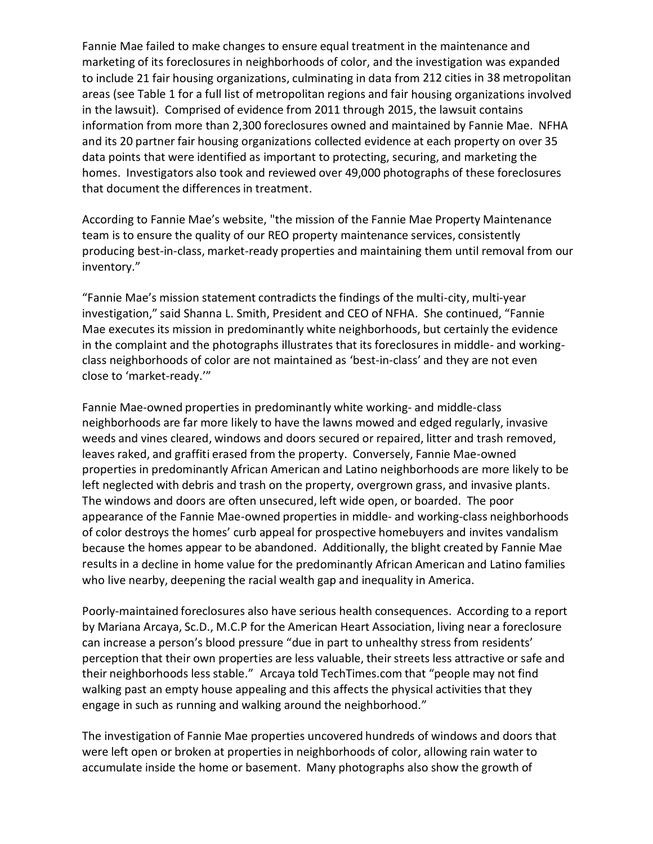Fannie Mae failed to make changes to ensure equal treatment in the maintenance and marketing of its foreclosures in neighborhoods of color, and the investigation was expanded to include 21 fair housing organizations, culminating in data from 212 cities in 38 metropolitan areas (see Table 1 for a full list of metropolitan regions and fair housing organizations involved in the lawsuit). Comprised of evidence from 2011 through 2015, the lawsuit contains information from more than 2,300 foreclosures owned and maintained by Fannie Mae. NFHA and its 20 partner fair housing organizations collected evidence at each property on over 35 data points that were identified as important to protecting, securing, and marketing the homes. Investigators also took and reviewed over 49,000 photographs of these foreclosures that document the differences in treatment.

According to Fannie Mae's website, "the mission of the Fannie Mae Property Maintenance team is to ensure the quality of our REO property maintenance services, consistently producing best-in-class, market-ready properties and maintaining them until removal from our inventory."

"Fannie Mae's mission statement contradicts the findings of the multi-city, multi-year investigation," said Shanna L. Smith, President and CEO of NFHA. She continued, "Fannie Mae executes its mission in predominantly white neighborhoods, but certainly the evidence in the complaint and the photographs illustrates that its foreclosures in middle- and workingclass neighborhoods of color are not maintained as 'best-in-class' and they are not even close to 'market-ready.'"

Fannie Mae-owned properties in predominantly white working- and middle-class neighborhoods are far more likely to have the lawns mowed and edged regularly, invasive weeds and vines cleared, windows and doors secured or repaired, litter and trash removed, leaves raked, and graffiti erased from the property. Conversely, Fannie Mae-owned properties in predominantly African American and Latino neighborhoods are more likely to be left neglected with debris and trash on the property, overgrown grass, and invasive plants. The windows and doors are often unsecured, left wide open, or boarded. The poor appearance of the Fannie Mae-owned properties in middle- and working-class neighborhoods of color destroys the homes' curb appeal for prospective homebuyers and invites vandalism because the homes appear to be abandoned. Additionally, the blight created by Fannie Mae results in a decline in home value for the predominantly African American and Latino families who live nearby, deepening the racial wealth gap and inequality in America.

Poorly-maintained foreclosures also have serious health consequences. According to a report by Mariana Arcaya, Sc.D., M.C.P for the American Heart Association, living near a foreclosure can increase a person's blood pressure "due in part to unhealthy stress from residents' perception that their own properties are less valuable, their streets less attractive or safe and their neighborhoods less stable." Arcaya told TechTimes.com that "people may not find walking past an empty house appealing and this affects the physical activities that they engage in such as running and walking around the neighborhood."

The investigation of Fannie Mae properties uncovered hundreds of windows and doors that were left open or broken at properties in neighborhoods of color, allowing rain water to accumulate inside the home or basement. Many photographs also show the growth of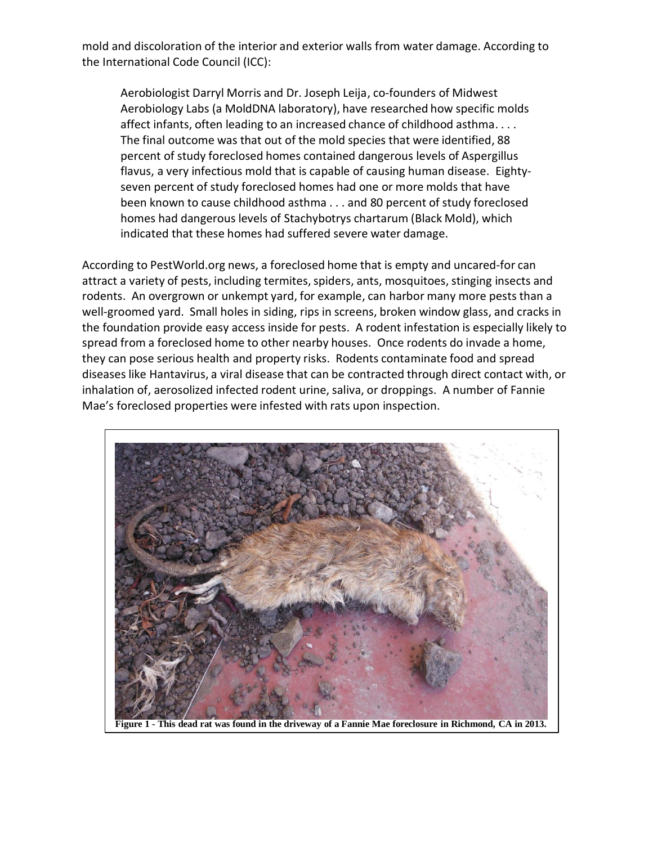mold and discoloration of the interior and exterior walls from water damage. According to the International Code Council (ICC):

Aerobiologist Darryl Morris and Dr. Joseph Leija, co-founders of Midwest Aerobiology Labs (a MoldDNA laboratory), have researched how specific molds affect infants, often leading to an increased chance of childhood asthma. . . . The final outcome was that out of the mold species that were identified, 88 percent of study foreclosed homes contained dangerous levels of Aspergillus flavus, a very infectious mold that is capable of causing human disease. Eightyseven percent of study foreclosed homes had one or more molds that have been known to cause childhood asthma . . . and 80 percent of study foreclosed homes had dangerous levels of Stachybotrys chartarum (Black Mold), which indicated that these homes had suffered severe water damage.

According to PestWorld.org news, a foreclosed home that is empty and uncared-for can attract a variety of pests, including termites, spiders, ants, mosquitoes, stinging insects and rodents. An overgrown or unkempt yard, for example, can harbor many more pests than a well-groomed yard. Small holes in siding, rips in screens, broken window glass, and cracks in the foundation provide easy access inside for pests. A rodent infestation is especially likely to spread from a foreclosed home to other nearby houses. Once rodents do invade a home, they can pose serious health and property risks. Rodents contaminate food and spread diseases like Hantavirus, a viral disease that can be contracted through direct contact with, or inhalation of, aerosolized infected rodent urine, saliva, or droppings. A number of Fannie Mae's foreclosed properties were infested with rats upon inspection.



Figure 1 - This dead rat was found in the driveway of a Fannie Mae foreclosure in Richmond, CA in 2013.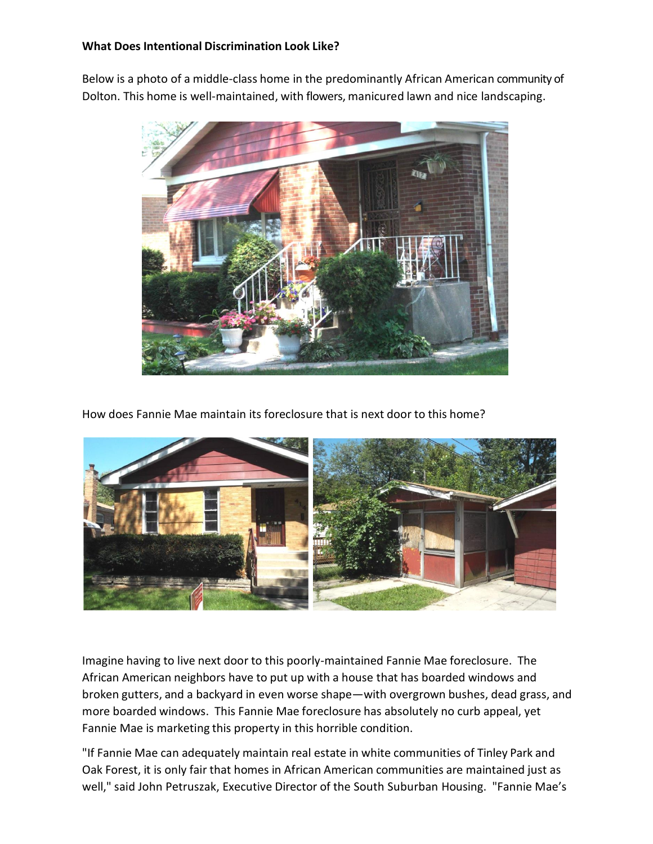#### **What Does Intentional Discrimination Look Like?**

Below is a photo of a middle-class home in the predominantly African American community of Dolton. This home is well-maintained, with flowers, manicured lawn and nice landscaping.



How does Fannie Mae maintain its foreclosure that is next door to this home?



Imagine having to live next door to this poorly-maintained Fannie Mae foreclosure. The African American neighbors have to put up with a house that has boarded windows and broken gutters, and a backyard in even worse shape—with overgrown bushes, dead grass, and more boarded windows. This Fannie Mae foreclosure has absolutely no curb appeal, yet Fannie Mae is marketing this property in this horrible condition.

"If Fannie Mae can adequately maintain real estate in white communities of Tinley Park and Oak Forest, it is only fair that homes in African American communities are maintained just as well," said John Petruszak, Executive Director of the South Suburban Housing. "Fannie Mae's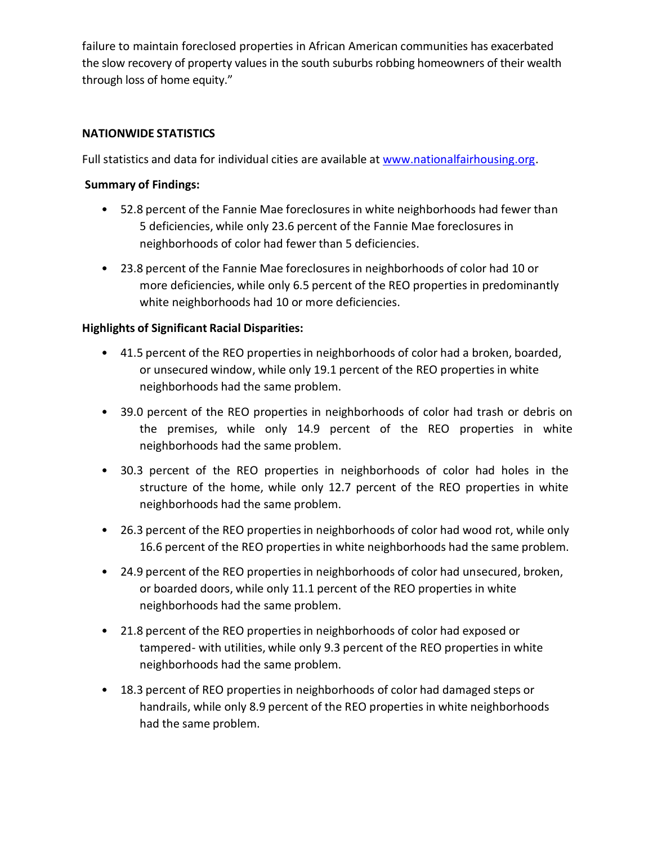failure to maintain foreclosed properties in African American communities has exacerbated the slow recovery of property values in the south suburbs robbing homeowners of their wealth through loss of home equity."

#### **NATIONWIDE STATISTICS**

Full statistics and data for individual cities are available at [www.nationalfairhousing.org.](http://www.nationalfairhousing.org/)

#### **Summary of Findings:**

- 52.8 percent of the Fannie Mae foreclosures in white neighborhoods had fewer than 5 deficiencies, while only 23.6 percent of the Fannie Mae foreclosures in neighborhoods of color had fewer than 5 deficiencies.
- 23.8 percent of the Fannie Mae foreclosures in neighborhoods of color had 10 or more deficiencies, while only 6.5 percent of the REO properties in predominantly white neighborhoods had 10 or more deficiencies.

### **Highlights of Significant Racial Disparities:**

- 41.5 percent of the REO properties in neighborhoods of color had a broken, boarded, or unsecured window, while only 19.1 percent of the REO properties in white neighborhoods had the same problem.
- 39.0 percent of the REO properties in neighborhoods of color had trash or debris on the premises, while only 14.9 percent of the REO properties in white neighborhoods had the same problem.
- 30.3 percent of the REO properties in neighborhoods of color had holes in the structure of the home, while only 12.7 percent of the REO properties in white neighborhoods had the same problem.
- 26.3 percent of the REO properties in neighborhoods of color had wood rot, while only 16.6 percent of the REO properties in white neighborhoods had the same problem.
- 24.9 percent of the REO properties in neighborhoods of color had unsecured, broken, or boarded doors, while only 11.1 percent of the REO properties in white neighborhoods had the same problem.
- 21.8 percent of the REO properties in neighborhoods of color had exposed or tampered- with utilities, while only 9.3 percent of the REO properties in white neighborhoods had the same problem.
- 18.3 percent of REO properties in neighborhoods of color had damaged steps or handrails, while only 8.9 percent of the REO properties in white neighborhoods had the same problem.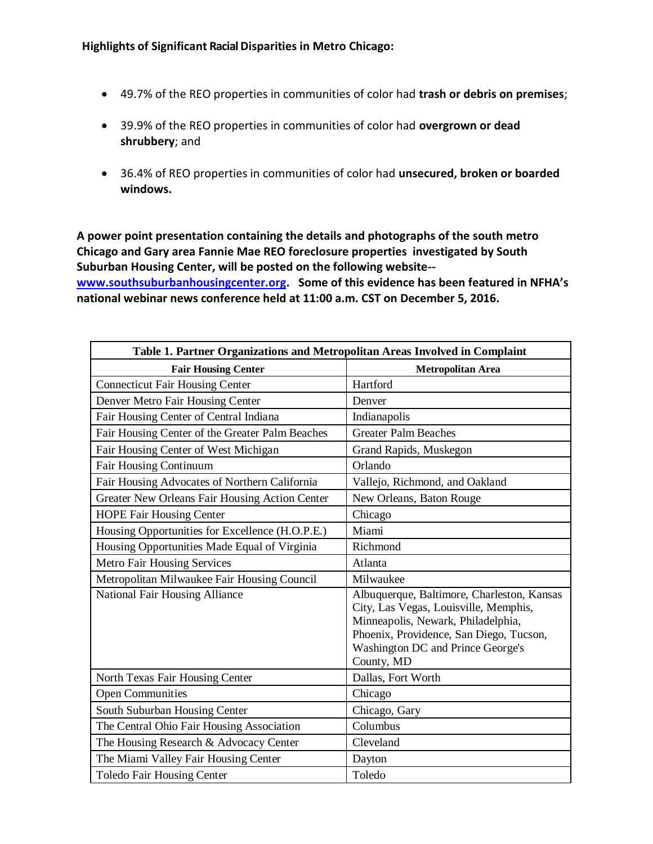- 49.7% of the REO properties in communities of color had **trash or debris on premises**;
- 39.9% of the REO properties in communities of color had **overgrown or dead shrubbery**; and
- 36.4% of REO properties in communities of color had **unsecured, broken or boarded windows.**

**A power point presentation containing the details and photographs of the south metro Chicago and Gary area Fannie Mae REO foreclosure properties investigated by South Suburban Housing Center, will be posted on the following website--**

**[www.southsuburbanhousingcenter.org.](http://www.southsuburbanhousingcenter.org/) Some of this evidence has been featured in NFHA's national webinar news conference held at 11:00 a.m. CST on December 5, 2016.**

| Table 1. Partner Organizations and Metropolitan Areas Involved in Complaint |                                                                                                                                                                                                                         |
|-----------------------------------------------------------------------------|-------------------------------------------------------------------------------------------------------------------------------------------------------------------------------------------------------------------------|
| <b>Fair Housing Center</b>                                                  | <b>Metropolitan Area</b>                                                                                                                                                                                                |
| <b>Connecticut Fair Housing Center</b>                                      | Hartford                                                                                                                                                                                                                |
| Denver Metro Fair Housing Center                                            | Denver                                                                                                                                                                                                                  |
| Fair Housing Center of Central Indiana                                      | Indianapolis                                                                                                                                                                                                            |
| Fair Housing Center of the Greater Palm Beaches                             | <b>Greater Palm Beaches</b>                                                                                                                                                                                             |
| Fair Housing Center of West Michigan                                        | Grand Rapids, Muskegon                                                                                                                                                                                                  |
| Fair Housing Continuum                                                      | Orlando                                                                                                                                                                                                                 |
| Fair Housing Advocates of Northern California                               | Vallejo, Richmond, and Oakland                                                                                                                                                                                          |
| Greater New Orleans Fair Housing Action Center                              | New Orleans, Baton Rouge                                                                                                                                                                                                |
| <b>HOPE Fair Housing Center</b>                                             | Chicago                                                                                                                                                                                                                 |
| Housing Opportunities for Excellence (H.O.P.E.)                             | Miami                                                                                                                                                                                                                   |
| Housing Opportunities Made Equal of Virginia                                | Richmond                                                                                                                                                                                                                |
| <b>Metro Fair Housing Services</b>                                          | Atlanta                                                                                                                                                                                                                 |
| Metropolitan Milwaukee Fair Housing Council                                 | Milwaukee                                                                                                                                                                                                               |
| National Fair Housing Alliance                                              | Albuquerque, Baltimore, Charleston, Kansas<br>City, Las Vegas, Louisville, Memphis,<br>Minneapolis, Newark, Philadelphia,<br>Phoenix, Providence, San Diego, Tucson,<br>Washington DC and Prince George's<br>County, MD |
| North Texas Fair Housing Center                                             | Dallas, Fort Worth                                                                                                                                                                                                      |
| <b>Open Communities</b>                                                     | Chicago                                                                                                                                                                                                                 |
| South Suburban Housing Center                                               | Chicago, Gary                                                                                                                                                                                                           |
| The Central Ohio Fair Housing Association                                   | Columbus                                                                                                                                                                                                                |
| The Housing Research & Advocacy Center                                      | Cleveland                                                                                                                                                                                                               |
| The Miami Valley Fair Housing Center                                        | Dayton                                                                                                                                                                                                                  |
| <b>Toledo Fair Housing Center</b>                                           | Toledo                                                                                                                                                                                                                  |